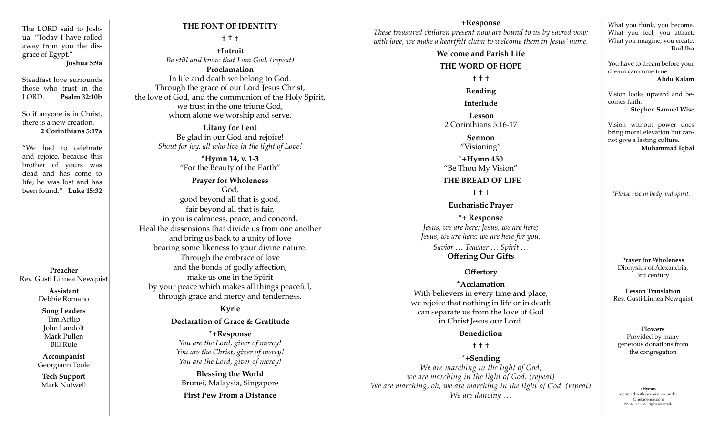The LORD said to Joshua, "Today I have rolled away from you the disgrace of Egypt."

**Joshua 5:9a**

Steadfast love surrounds those who trust in the LORD. **Psalm 32:10b**

So if anyone is in Christ, there is a new creation. **2 Corinthians 5:17a**

"We had to celebrate and rejoice, because this brother of yours was dead and has come to life; he was lost and has been found." **Luke 15:32**

**Preacher** Rev. Gusti Linnea Newquist

> **Assistant** Debbie Romano

#### **Song Leaders** Tim Artlip John Landolt Mark Pullen

Bill Rule

**Accompanist** Georgiann Toole

**Tech Support** Mark Nutwell

# **THE FONT OF IDENTITY**

**† † †**

**+Introit**  *Be still and know that I am God. (repeat)* **Proclamation** In life and death we belong to God.

Through the grace of our Lord Jesus Christ, the love of God, and the communion of the Holy Spirit, we trust in the one triune God, whom alone we worship and serve.

**Litany for Lent**  Be glad in our God and rejoice! *Shout for joy, all who live in the light of Love!*

> **\*Hymn 14, v. 1-3** "For the Beauty of the Earth"

**Prayer for Wholeness** God, good beyond all that is good, fair beyond all that is fair, in you is calmness, peace, and concord. Heal the dissensions that divide us from one another and bring us back to a unity of love bearing some likeness to your divine nature. Through the embrace of love and the bonds of godly affection, make us one in the Spirit by your peace which makes all things peaceful, through grace and mercy and tenderness.

# **Kyrie**

#### **Declaration of Grace & Gratitude**

**\*+Response**  *You are the Lord, giver of mercy! You are the Christ, giver of mercy! You are the Lord, giver of mercy!*

**Blessing the World** Brunei, Malaysia, Singapore **First Pew From a Distance**

## **+Response**

*These treasured children present now are bound to us by sacred vow: with love, we make a heartfelt claim to welcome them in Jesus' name.* 

# **Welcome and Parish Life THE WORD OF HOPE † † †**

**Reading Interlude**

**Lesson** 2 Corinthians 5:16-17

> **Sermon** "Visioning"

**\*+Hymn 450** "Be Thou My Vision"

#### **THE BREAD OF LIFE**

**† † †**

#### **Eucharistic Prayer**

**\*+ Response**  *Jesus, we are here; Jesus, we are here; Jesus, we are here; we are here for you. Savior … Teacher … Spirit …*

**Offering Our Gifts**

## **Offertory**

**\*Acclamation** With believers in every time and place, we rejoice that nothing in life or in death can separate us from the love of God in Christ Jesus our Lord.

#### **Benediction**

## **† † †**

**\*+Sending**  *We are marching in the light of God, we are marching in the light of God. (repeat) We are marching, oh, we are marching in the light of God. (repeat) We are dancing in the trynt of Gout.* (*repear*) <br>*We are dancing ...*  $\blacksquare$ 

What you think, you become. What you feel, you attract. What you imagine, you create. **Buddha**

You have to dream before your dream can come true. **Abdu Kalam**

Vision looks upward and becomes faith. **Stephen Samuel Wise**

Vision without power does bring moral elevation but cannot give a lasting culture. **Muhammad Iqbal**

*\*Please rise in body and spirit.*

**Prayer for Wholeness** Dionysius of Alexandria, 3rd century

**Lesson Translation** Rev. Gusti Linnea Newquist

#### **Flowers** Provided by many generous donations from the congregation

reprinted with permission under OneLicense.com #A-007343. All rights reserved.